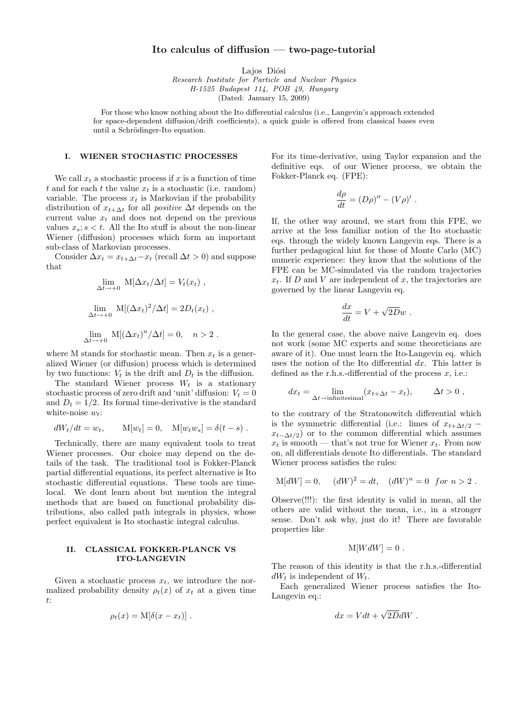## Ito calculus of diffusion — two-page-tutorial

Lajos Diósi

Research Institute for Particle and Nuclear Physics H-1525 Budapest 114, POB 49, Hungary (Dated: January 15, 2009)

For those who know nothing about the Ito differential calculus (i.e., Langevin's approach extended

for space-dependent diffusion/drift coefficients), a quick guide is offered from classical bases even until a Schrödinger-Ito equation.

## I. WIENER STOCHASTIC PROCESSES

We call  $x_t$  a stochastic process if x is a function of time t and for each t the value  $x_t$  is a stochastic (i.e. random) variable. The process  $x_t$  is Markovian if the probability distribution of  $x_{t+\Delta t}$  for all *positive*  $\Delta t$  depends on the current value  $x_t$  and does not depend on the previous values  $x_s$ ;  $s < t$ . All the Ito stuff is about the non-linear Wiener (diffusion) processes which form an important sub-class of Markovian processes.

Consider  $\Delta x_t = x_{t+\Delta t} - x_t$  (recall  $\Delta t > 0$ ) and suppose that

$$
\lim_{\Delta t \to +0} \mathbf{M}[\Delta x_t / \Delta t] = V_t(x_t) ,
$$
  

$$
\lim_{\Delta t \to +0} \mathbf{M}[(\Delta x_t)^2 / \Delta t] = 2D_t(x_t) ,
$$
  

$$
\lim_{\Delta t \to +0} \mathbf{M}[(\Delta x_t)^n / \Delta t] = 0, \quad n > 2 .
$$

where M stands for stochastic mean. Then  $x_t$  is a generalized Wiener (or diffusion) process which is determined by two functions:  $V_t$  is the drift and  $D_t$  is the diffusion.

The standard Wiener process  $W_t$  is a stationary stochastic process of zero drift and 'unit' diffusion:  $V_t = 0$ and  $D_t = 1/2$ . Its formal time-derivative is the standard white-noise  $w_t$ :

$$
dW_t/dt = w_t, \qquad M[w_t] = 0, \quad M[w_t w_s] = \delta(t - s) .
$$

Technically, there are many equivalent tools to treat Wiener processes. Our choice may depend on the details of the task. The traditional tool is Fokker-Planck partial differential equations, its perfect alternative is Ito stochastic differential equations. These tools are timelocal. We dont learn about but mention the integral methods that are based on functional probability distributions, also called path integrals in physics, whose perfect equivalent is Ito stochastic integral calculus.

## II. CLASSICAL FOKKER-PLANCK VS ITO-LANGEVIN

Given a stochastic process  $x_t$ , we introduce the normalized probability density  $\rho_t(x)$  of  $x_t$  at a given time t:

$$
\rho_t(x) = M[\delta(x - x_t)].
$$

For its time-derivative, using Taylor expansion and the definitive eqs. of our Wiener process, we obtain the Fokker-Planck eq. (FPE):

$$
\frac{d\rho}{dt} = (D\rho)'' - (V\rho)'.
$$

If, the other way around, we start from this FPE, we arrive at the less familiar notion of the Ito stochastic eqs. through the widely known Langevin eqs. There is a further pedagogical hint for those of Monte Carlo (MC) numeric experience: they know that the solutions of the FPE can be MC-simulated via the random trajectories  $x_t$ . If D and V are independent of x, the trajectories are governed by the linear Langevin eq.

$$
\frac{dx}{dt} = V + \sqrt{2D}w.
$$

In the general case, the above naive Langevin eq. does not work (some MC experts and some theoreticians are aware of it). One must learn the Ito-Langevin eq. which uses the notion of the Ito differential  $dx$ . This latter is defined as the r.h.s.-differential of the process  $x$ , i.e.:

$$
dx_t = \lim_{\Delta t \to \text{infinitesimal}} (x_{t + \Delta t} - x_t), \qquad \Delta t > 0,
$$

to the contrary of the Stratonowitch differential which is the symmetric differential (i.e.: limes of  $x_{t+\Delta t/2}$  –  $x_{t-\Delta t/2}$ ) or to the common differential which assumes  $x_t$  is smooth — that's not true for Wiener  $x_t$ . From now on, all differentials denote Ito differentials. The standard Wiener process satisfies the rules:

$$
M[dW] = 0,
$$
  $(dW)^2 = dt,$   $(dW)^n = 0$  for  $n > 2$ .

Observe(!!!): the first identity is valid in mean, all the others are valid without the mean, i.e., in a stronger sense. Don't ask why, just do it! There are favorable properties like

$$
M[WdW] = 0.
$$

The reason of this identity is that the r.h.s.-differential  $dW_t$  is independent of  $W_t$ .

Each generalized Wiener process satisfies the Ito-Langevin eq.:

$$
dx = Vdt + \sqrt{2D}dW.
$$